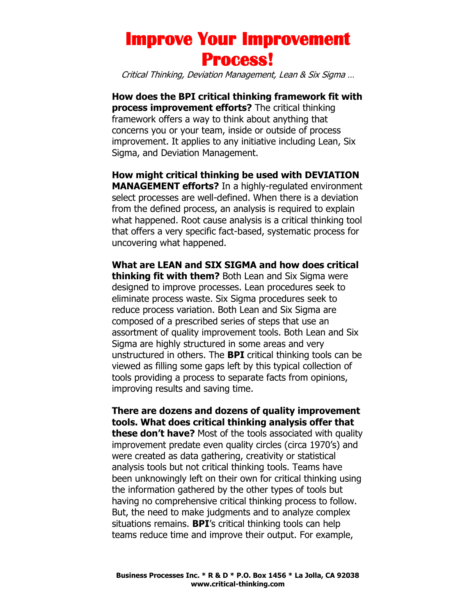Critical Thinking, Deviation Management, Lean & Six Sigma …

**How does the BPI critical thinking framework fit with process improvement efforts?** The critical thinking framework offers a way to think about anything that concerns you or your team, inside or outside of process improvement. It applies to any initiative including Lean, Six Sigma, and Deviation Management.

**How might critical thinking be used with DEVIATION MANAGEMENT efforts?** In a highly-regulated environment select processes are well-defined. When there is a deviation from the defined process, an analysis is required to explain what happened. Root cause analysis is a critical thinking tool that offers a very specific fact-based, systematic process for uncovering what happened.

**What are LEAN and SIX SIGMA and how does critical thinking fit with them?** Both Lean and Six Sigma were designed to improve processes. Lean procedures seek to eliminate process waste. Six Sigma procedures seek to reduce process variation. Both Lean and Six Sigma are composed of a prescribed series of steps that use an assortment of quality improvement tools. Both Lean and Six Sigma are highly structured in some areas and very unstructured in others. The **BPI** critical thinking tools can be viewed as filling some gaps left by this typical collection of tools providing a process to separate facts from opinions, improving results and saving time.

**There are dozens and dozens of quality improvement tools. What does critical thinking analysis offer that these don't have?** Most of the tools associated with quality improvement predate even quality circles (circa 1970's) and were created as data gathering, creativity or statistical analysis tools but not critical thinking tools. Teams have been unknowingly left on their own for critical thinking using the information gathered by the other types of tools but having no comprehensive critical thinking process to follow. But, the need to make judgments and to analyze complex situations remains. **BPI**'s critical thinking tools can help teams reduce time and improve their output. For example,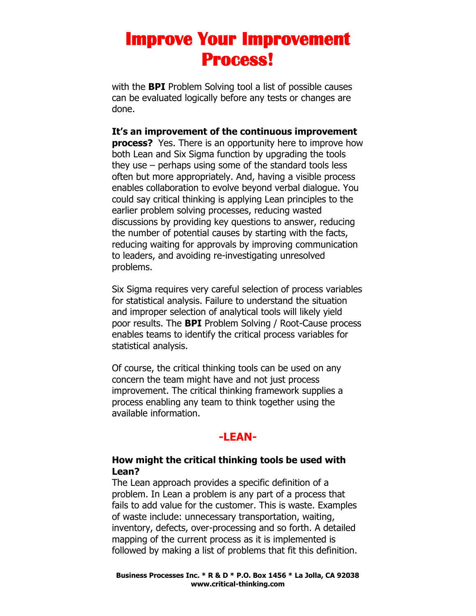with the **BPI** Problem Solving tool a list of possible causes can be evaluated logically before any tests or changes are done.

#### **It's an improvement of the continuous improvement**

**process?** Yes. There is an opportunity here to improve how both Lean and Six Sigma function by upgrading the tools they use – perhaps using some of the standard tools less often but more appropriately. And, having a visible process enables collaboration to evolve beyond verbal dialogue. You could say critical thinking is applying Lean principles to the earlier problem solving processes, reducing wasted discussions by providing key questions to answer, reducing the number of potential causes by starting with the facts, reducing waiting for approvals by improving communication to leaders, and avoiding re-investigating unresolved problems.

Six Sigma requires very careful selection of process variables for statistical analysis. Failure to understand the situation and improper selection of analytical tools will likely yield poor results. The **BPI** Problem Solving / Root-Cause process enables teams to identify the critical process variables for statistical analysis.

Of course, the critical thinking tools can be used on any concern the team might have and not just process improvement. The critical thinking framework supplies a process enabling any team to think together using the available information.

#### **-LEAN-**

#### **How might the critical thinking tools be used with Lean?**

The Lean approach provides a specific definition of a problem. In Lean a problem is any part of a process that fails to add value for the customer. This is waste. Examples of waste include: unnecessary transportation, waiting, inventory, defects, over-processing and so forth. A detailed mapping of the current process as it is implemented is followed by making a list of problems that fit this definition.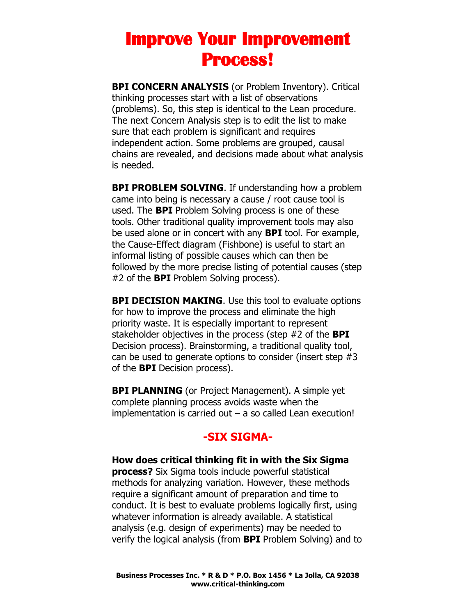**BPI CONCERN ANALYSIS** (or Problem Inventory). Critical thinking processes start with a list of observations (problems). So, this step is identical to the Lean procedure. The next Concern Analysis step is to edit the list to make sure that each problem is significant and requires independent action. Some problems are grouped, causal chains are revealed, and decisions made about what analysis is needed.

**BPI PROBLEM SOLVING.** If understanding how a problem came into being is necessary a cause / root cause tool is used. The **BPI** Problem Solving process is one of these tools. Other traditional quality improvement tools may also be used alone or in concert with any **BPI** tool. For example, the Cause-Effect diagram (Fishbone) is useful to start an informal listing of possible causes which can then be followed by the more precise listing of potential causes (step #2 of the **BPI** Problem Solving process).

**BPI DECISION MAKING.** Use this tool to evaluate options for how to improve the process and eliminate the high priority waste. It is especially important to represent stakeholder objectives in the process (step #2 of the **BPI**  Decision process). Brainstorming, a traditional quality tool, can be used to generate options to consider (insert step #3 of the **BPI** Decision process).

**BPI PLANNING** (or Project Management). A simple yet complete planning process avoids waste when the implementation is carried out  $-$  a so called Lean execution!

### **-SIX SIGMA-**

**How does critical thinking fit in with the Six Sigma process?** Six Sigma tools include powerful statistical methods for analyzing variation. However, these methods require a significant amount of preparation and time to conduct. It is best to evaluate problems logically first, using whatever information is already available. A statistical analysis (e.g. design of experiments) may be needed to verify the logical analysis (from **BPI** Problem Solving) and to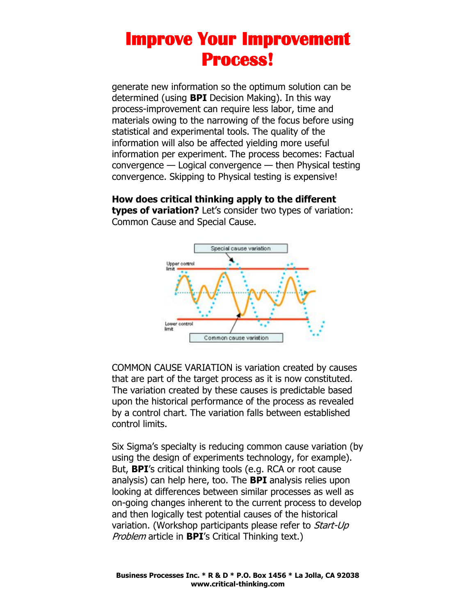generate new information so the optimum solution can be determined (using **BPI** Decision Making). In this way process-improvement can require less labor, time and materials owing to the narrowing of the focus before using statistical and experimental tools. The quality of the information will also be affected yielding more useful information per experiment. The process becomes: Factual convergence — Logical convergence — then Physical testing convergence. Skipping to Physical testing is expensive!

**How does critical thinking apply to the different types of variation?** Let's consider two types of variation: Common Cause and Special Cause.



COMMON CAUSE VARIATION is variation created by causes that are part of the target process as it is now constituted. The variation created by these causes is predictable based upon the historical performance of the process as revealed by a control chart. The variation falls between established control limits.

Six Sigma's specialty is reducing common cause variation (by using the design of experiments technology, for example). But, **BPI**'s critical thinking tools (e.g. RCA or root cause analysis) can help here, too. The **BPI** analysis relies upon looking at differences between similar processes as well as on-going changes inherent to the current process to develop and then logically test potential causes of the historical variation. (Workshop participants please refer to Start-Up Problem article in **BPI**'s Critical Thinking text.)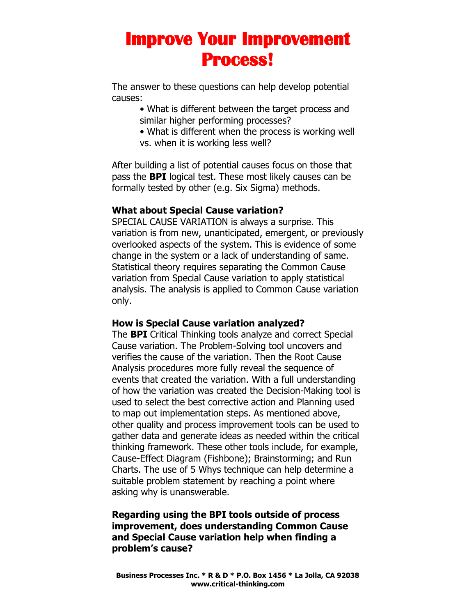The answer to these questions can help develop potential causes:

- What is different between the target process and similar higher performing processes?
- What is different when the process is working well vs. when it is working less well?

After building a list of potential causes focus on those that pass the **BPI** logical test. These most likely causes can be formally tested by other (e.g. Six Sigma) methods.

#### **What about Special Cause variation?**

SPECIAL CAUSE VARIATION is always a surprise. This variation is from new, unanticipated, emergent, or previously overlooked aspects of the system. This is evidence of some change in the system or a lack of understanding of same. Statistical theory requires separating the Common Cause variation from Special Cause variation to apply statistical analysis. The analysis is applied to Common Cause variation only.

#### **How is Special Cause variation analyzed?**

The **BPI** Critical Thinking tools analyze and correct Special Cause variation. The Problem-Solving tool uncovers and verifies the cause of the variation. Then the Root Cause Analysis procedures more fully reveal the sequence of events that created the variation. With a full understanding of how the variation was created the Decision-Making tool is used to select the best corrective action and Planning used to map out implementation steps. As mentioned above, other quality and process improvement tools can be used to gather data and generate ideas as needed within the critical thinking framework. These other tools include, for example, Cause-Effect Diagram (Fishbone); Brainstorming; and Run Charts. The use of 5 Whys technique can help determine a suitable problem statement by reaching a point where asking why is unanswerable.

#### **Regarding using the BPI tools outside of process improvement, does understanding Common Cause and Special Cause variation help when finding a problem's cause?**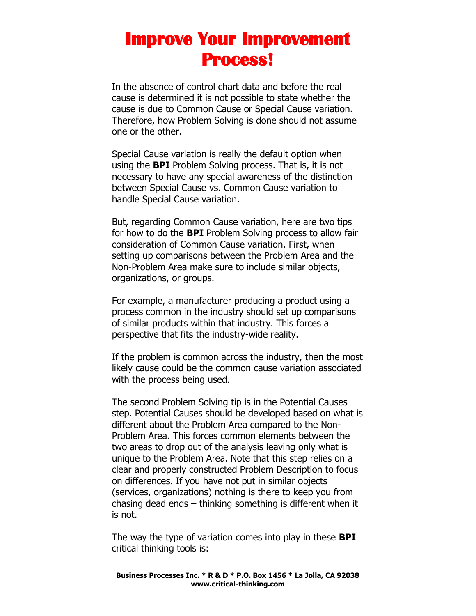In the absence of control chart data and before the real cause is determined it is not possible to state whether the cause is due to Common Cause or Special Cause variation. Therefore, how Problem Solving is done should not assume one or the other.

Special Cause variation is really the default option when using the **BPI** Problem Solving process. That is, it is not necessary to have any special awareness of the distinction between Special Cause vs. Common Cause variation to handle Special Cause variation.

But, regarding Common Cause variation, here are two tips for how to do the **BPI** Problem Solving process to allow fair consideration of Common Cause variation. First, when setting up comparisons between the Problem Area and the Non-Problem Area make sure to include similar objects, organizations, or groups.

For example, a manufacturer producing a product using a process common in the industry should set up comparisons of similar products within that industry. This forces a perspective that fits the industry-wide reality.

If the problem is common across the industry, then the most likely cause could be the common cause variation associated with the process being used.

The second Problem Solving tip is in the Potential Causes step. Potential Causes should be developed based on what is different about the Problem Area compared to the Non-Problem Area. This forces common elements between the two areas to drop out of the analysis leaving only what is unique to the Problem Area. Note that this step relies on a clear and properly constructed Problem Description to focus on differences. If you have not put in similar objects (services, organizations) nothing is there to keep you from chasing dead ends – thinking something is different when it is not.

The way the type of variation comes into play in these **BPI**  critical thinking tools is: